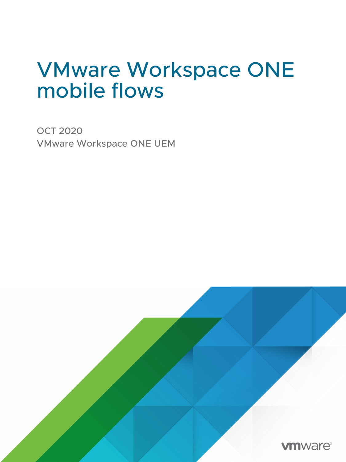## VMware Workspace ONE mobile flows

OCT 2020 VMware Workspace ONE UEM

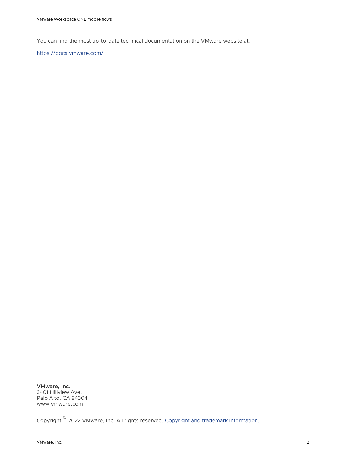You can find the most up-to-date technical documentation on the VMware website at:

<https://docs.vmware.com/>

**VMware, Inc.** 3401 Hillview Ave. Palo Alto, CA 94304 www.vmware.com

Copyright  $^\copyright$  2022 VMware, Inc. All rights reserved. [Copyright and trademark information.](https://docs.vmware.com/copyright-trademark.html)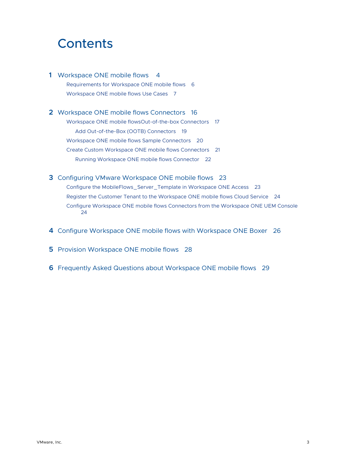## **Contents**

#### **1** [Workspace ONE mobile flows 4](#page-3-0)

[Requirements for Workspace ONE mobile flows](#page-5-0) 6 [Workspace ONE mobile flows Use Cases](#page-6-0) 7

#### **2** [Workspace ONE mobile flows Connectors](#page-15-0) 16

[Workspace ONE mobile flowsOut-of-the-box Connectors](#page-16-0) 17 [Add Out-of-the-Box \(OOTB\) Connectors](#page-18-0) 19 [Workspace ONE mobile flows Sample Connectors](#page-19-0) 20 [Create Custom Workspace ONE mobile flows Connectors](#page-20-0) 21 [Running Workspace ONE mobile flows Connector](#page-21-0) 22

#### **3** [Configuring VMware Workspace ONE mobile flows](#page-22-0) 23

[Configure the MobileFlows\\_Server\\_Template in Workspace ONE Access](#page-22-0) 23 [Register the Customer Tenant to the Workspace ONE mobile flows Cloud Service](#page-23-0) 24 [Configure Workspace ONE mobile flows Connectors from the Workspace ONE UEM Console](#page-23-0)  [24](#page-23-0)

- **4** [Configure Workspace ONE mobile flows with Workspace ONE Boxer](#page-25-0) 26
- **5** [Provision Workspace ONE mobile flows](#page-27-0) 28
- **6** [Frequently Asked Questions about Workspace ONE mobile flows](#page-28-0) 29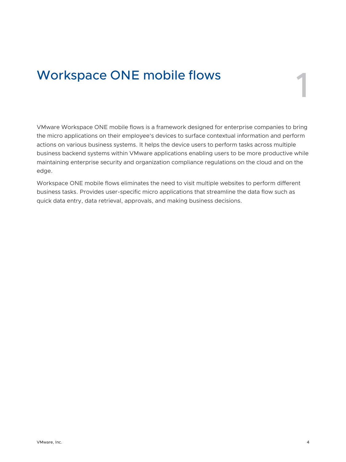## <span id="page-3-0"></span>Workspace ONE mobile flows 1

VMware Workspace ONE mobile flows is a framework designed for enterprise companies to bring the micro applications on their employee's devices to surface contextual information and perform actions on various business systems. It helps the device users to perform tasks across multiple business backend systems within VMware applications enabling users to be more productive while maintaining enterprise security and organization compliance regulations on the cloud and on the edge.

Workspace ONE mobile flows eliminates the need to visit multiple websites to perform different business tasks. Provides user-specific micro applications that streamline the data flow such as quick data entry, data retrieval, approvals, and making business decisions.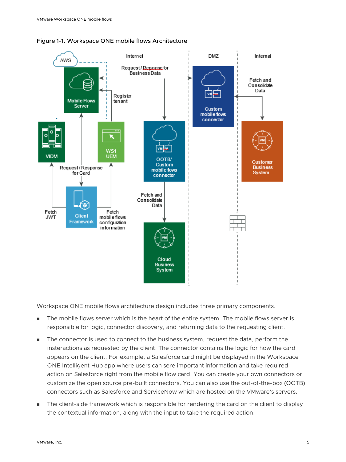



Workspace ONE mobile flows architecture design includes three primary components.

- n The mobile flows server which is the heart of the entire system. The mobile flows server is responsible for logic, connector discovery, and returning data to the requesting client.
- n The connector is used to connect to the business system, request the data, perform the insteractions as requested by the client. The connector contains the logic for how the card appears on the client. For example, a Salesforce card might be displayed in the Workspace ONE Intelligent Hub app where users can sere important information and take required action on Salesforce right from the mobile flow card. You can create your own connectors or customize the open source pre-built connectors. You can also use the out-of-the-box (OOTB) connectors such as Salesforce and ServiceNow which are hosted on the VMware's servers.
- The client-side framework which is responsible for rendering the card on the client to display the contextual information, along with the input to take the required action.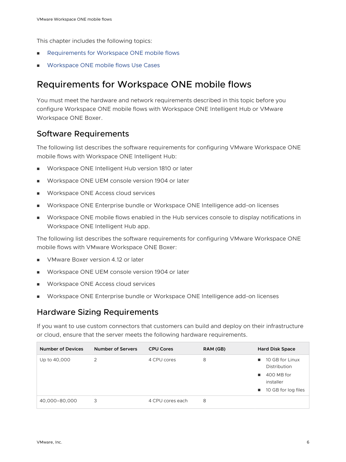<span id="page-5-0"></span>This chapter includes the following topics:

- **Requirements for Workspace ONE mobile flows**
- **NORE WORKSPACE ONE mobile flows Use Cases**

### Requirements for Workspace ONE mobile flows

You must meet the hardware and network requirements described in this topic before you configure Workspace ONE mobile flows with Workspace ONE Intelligent Hub or VMware Workspace ONE Boxer.

#### Software Requirements

The following list describes the software requirements for configuring VMware Workspace ONE mobile flows with Workspace ONE Intelligent Hub:

- Workspace ONE Intelligent Hub version 1810 or later
- Workspace ONE UEM console version 1904 or later
- Workspace ONE Access cloud services
- Workspace ONE Enterprise bundle or Workspace ONE Intelligence add-on licenses
- Workspace ONE mobile flows enabled in the Hub services console to display notifications in Workspace ONE Intelligent Hub app.

The following list describes the software requirements for configuring VMware Workspace ONE mobile flows with VMware Workspace ONE Boxer:

- VMware Boxer version 4.12 or later
- **Norkspace ONE UEM console version 1904 or later**
- **Norkspace ONE Access cloud services**
- **Norkspace ONE Enterprise bundle or Workspace ONE Intelligence add-on licenses**

#### Hardware Sizing Requirements

If you want to use custom connectors that customers can build and deploy on their infrastructure or cloud, ensure that the server meets the following hardware requirements.

| <b>Number of Devices</b> | <b>Number of Servers</b> | <b>CPU Cores</b> | RAM (GB) | <b>Hard Disk Space</b>                                                                                           |
|--------------------------|--------------------------|------------------|----------|------------------------------------------------------------------------------------------------------------------|
| Up to 40,000             | 2                        | 4 CPU cores      | 8        | 10 GB for Linux<br>п.<br>Distribution<br>400 MB for<br>. .<br>installer<br>10 GB for log files<br>$\blacksquare$ |
| 40,000-80,000            | 3                        | 4 CPU cores each | 8        |                                                                                                                  |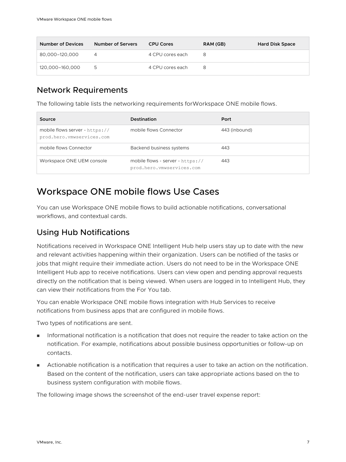<span id="page-6-0"></span>

| <b>Number of Devices</b> | Number of Servers | <b>CPU Cores</b> | RAM (GB) | <b>Hard Disk Space</b> |
|--------------------------|-------------------|------------------|----------|------------------------|
| 80,000-120,000           |                   | 4 CPU cores each | 8        |                        |
| 120,000-160,000          | 5                 | 4 CPU cores each | 8        |                        |

#### Network Requirements

The following table lists the networking requirements forWorkspace ONE mobile flows.

| Source                                                      | <b>Destination</b>                                            | Port          |
|-------------------------------------------------------------|---------------------------------------------------------------|---------------|
| mobile flows server - https://<br>prod.hero.vmwservices.com | mobile flows Connector                                        | 443 (inbound) |
| mobile flows Connector                                      | Backend business systems                                      | 443           |
| Workspace ONE UEM console                                   | mobile flows - server - https://<br>prod.hero.vmwservices.com | 443           |

## Workspace ONE mobile flows Use Cases

You can use Workspace ONE mobile flows to build actionable notifications, conversational workflows, and contextual cards.

#### Using Hub Notifications

Notifications received in Workspace ONE Intelligent Hub help users stay up to date with the new and relevant activities happening within their organization. Users can be notified of the tasks or jobs that might require their immediate action. Users do not need to be in the Workspace ONE Intelligent Hub app to receive notifications. Users can view open and pending approval requests directly on the notification that is being viewed. When users are logged in to Intelligent Hub, they can view their notifications from the For You tab.

You can enable Workspace ONE mobile flows integration with Hub Services to receive notifications from business apps that are configured in mobile flows.

Two types of notifications are sent.

- **n** Informational notification is a notification that does not require the reader to take action on the notification. For example, notifications about possible business opportunities or follow-up on contacts.
- **n** Actionable notification is a notification that requires a user to take an action on the notification. Based on the content of the notification, users can take appropriate actions based on the to business system configuration with mobile flows.

The following image shows the screenshot of the end-user travel expense report: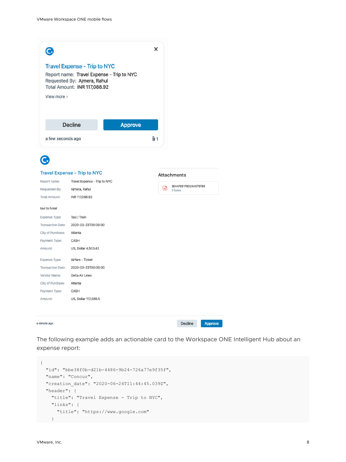|                          | <b>Travel Expense - Trip to NYC</b>                                                                      |         |      |                                 |  |
|--------------------------|----------------------------------------------------------------------------------------------------------|---------|------|---------------------------------|--|
|                          | Report name: Travel Expense - Trip to NYC<br>Requested By: Ajmera, Rahul<br>Total Amount: INR 117,088.92 |         |      |                                 |  |
| View more >              |                                                                                                          |         |      |                                 |  |
|                          | <b>Decline</b>                                                                                           | Approve |      |                                 |  |
| a few seconds ago        |                                                                                                          |         | 0ı 1 |                                 |  |
| с.                       |                                                                                                          |         |      |                                 |  |
|                          | <b>Travel Expense - Trip to NYC</b>                                                                      |         |      |                                 |  |
| Report name:             | Travel Expense - Trip to NYC                                                                             |         |      | <b>Attachments</b>              |  |
| Requested By:            | Ajmera, Rahul                                                                                            |         | ∣⊶า  | 3E4AF851FBD24A5797B5<br>0 bytes |  |
| <b>Total Amount:</b>     | INR 117,088.92                                                                                           |         |      |                                 |  |
| taxi to hotel            |                                                                                                          |         |      |                                 |  |
| Expense Type:            | Taxi / Train                                                                                             |         |      |                                 |  |
| <b>Transaction Date:</b> | 2020-03-23T00:00:00                                                                                      |         |      |                                 |  |
| City of Purchase:        | Atlanta                                                                                                  |         |      |                                 |  |
| Payment Type:            | CASH                                                                                                     |         |      |                                 |  |
| Amount:                  | US, Dollar 4,503.42                                                                                      |         |      |                                 |  |
| Expense Type:            | Airfare - Ticket                                                                                         |         |      |                                 |  |
| <b>Transaction Date:</b> | 2020-03-23T00:00:00                                                                                      |         |      |                                 |  |
| Vendor Name:             | Delta Air Lines                                                                                          |         |      |                                 |  |
|                          | Atlanta                                                                                                  |         |      |                                 |  |
| City of Purchase:        |                                                                                                          |         |      |                                 |  |
| Payment Type:            | CASH                                                                                                     |         |      |                                 |  |

The following example adds an actionable card to the Workspace ONE Intelligent Hub about an expense report:

```
\{ "id": "bbe38f0b-d21b-4486-9b24-726a77e9f35f",
   "name": "Concur",
   "creation_date": "2020-06-24T11:44:45.039Z",
   "header": {
     "title": "Travel Expense - Trip to NYC",
     "links": {
       "title": "https://www.google.com"
     }
```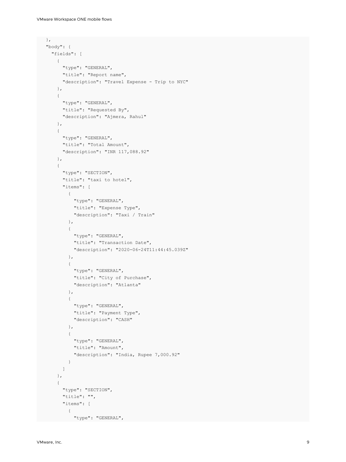```
 },
    "body": {
     "fields": [
      \left\{ \right. "type": "GENERAL",
          "title": "Report name",
          "description": "Travel Expense - Trip to NYC"
        },
        {
          "type": "GENERAL",
         "title": "Requested By",
         "description": "Ajmera, Rahul"
        },
        {
          "type": "GENERAL",
          "title": "Total Amount",
          "description": "INR 117,088.92"
        },
        {
          "type": "SECTION",
          "title": "taxi to hotel",
          "items": [
            {
              "type": "GENERAL",
              "title": "Expense Type",
              "description": "Taxi / Train"
            },
 \{ "type": "GENERAL",
              "title": "Transaction Date",
              "description": "2020-06-24T11:44:45.039Z"
            },
 \{ "type": "GENERAL",
              "title": "City of Purchase",
              "description": "Atlanta"
            },
 \{ "type": "GENERAL",
              "title": "Payment Type",
              "description": "CASH"
            },
 \{ "type": "GENERAL",
              "title": "Amount",
              "description": "India, Rupee 7,000.92"
  }
          ]
        },
        {
          "type": "SECTION",
          "title": "",
          "items": [
          \left\{ \begin{array}{c} \end{array} \right. "type": "GENERAL",
```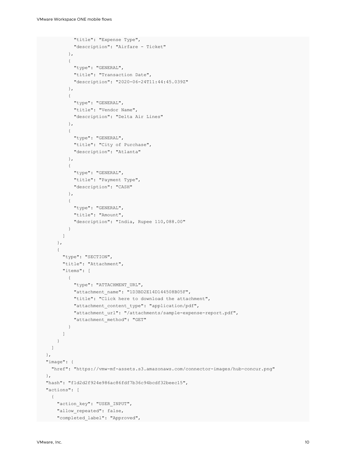```
 "title": "Expense Type",
            "description": "Airfare - Ticket"
          },
\{ "type": "GENERAL",
            "title": "Transaction Date",
            "description": "2020-06-24T11:44:45.039Z"
          },
\{ "type": "GENERAL",
            "title": "Vendor Name",
            "description": "Delta Air Lines"
          },
\{ "type": "GENERAL",
            "title": "City of Purchase",
            "description": "Atlanta"
          },
\{ "type": "GENERAL",
            "title": "Payment Type",
            "description": "CASH"
          },
\{ "type": "GENERAL",
            "title": "Amount",
            "description": "India, Rupee 110,088.00"
          }
        ]
      },
      {
        "type": "SECTION",
        "title": "Attachment",
        "items": [
\{ "type": "ATTACHMENT_URL",
            "attachment_name": "1D3BD2E14D144508B05F",
            "title": "Click here to download the attachment",
            "attachment_content_type": "application/pdf",
            "attachment_url": "/attachments/sample-expense-report.pdf",
            "attachment_method": "GET"
 }
        ]
      }
    ]
  },
  "image": {
   "href": "https://vmw-mf-assets.s3.amazonaws.com/connector-images/hub-concur.png"
  },
  "hash": "f1d2d2f924e986ac86fdf7b36c94bcdf32beec15",
  "actions": [
    {
     "action key": "USER INPUT",
     "allow repeated": false,
     "completed_label": "Approved",
```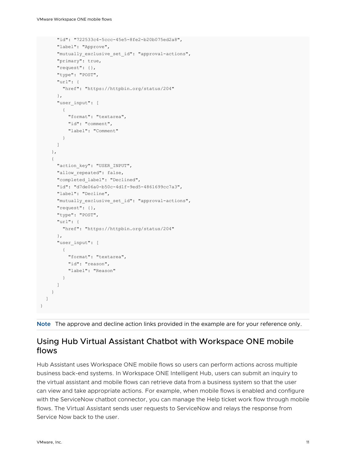```
 "id": "722533c4-5ccc-45e5-8fe2-b20b075ed2a8",
     "label": "Approve",
     "mutually_exclusive_set_id": "approval-actions",
     "primary": true,
     "request": {},
     "type": "POST",
     "url": {
      "href": "https://httpbin.org/status/204"
     },
     "user_input": [
      {
         "format": "textarea",
         "id": "comment",
         "label": "Comment"
       }
     ]
   },
   {
    "action key": "USER INPUT",
    "allow repeated": false,
     "completed_label": "Declined",
     "id": "d7de06a0-b50c-4d1f-9ed5-4861699cc7a3",
     "label": "Decline",
    "mutually exclusive set id": "approval-actions",
     "request": {},
     "type": "POST",
     "url": {
      "href": "https://httpbin.org/status/204"
     },
    "user_input": [
     \left\{ \right. "format": "textarea",
         "id": "reason",
        "label": "Reason"
      }
     ]
   }
 ]
```


#### Using Hub Virtual Assistant Chatbot with Workspace ONE mobile flows

Hub Assistant uses Workspace ONE mobile flows so users can perform actions across multiple business back-end systems. In Workspace ONE Intelligent Hub, users can submit an inquiry to the virtual assistant and mobile flows can retrieve data from a business system so that the user can view and take appropriate actions. For example, when mobile flows is enabled and configure with the ServiceNow chatbot connector, you can manage the Help ticket work flow through mobile flows. The Virtual Assistant sends user requests to ServiceNow and relays the response from Service Now back to the user.

}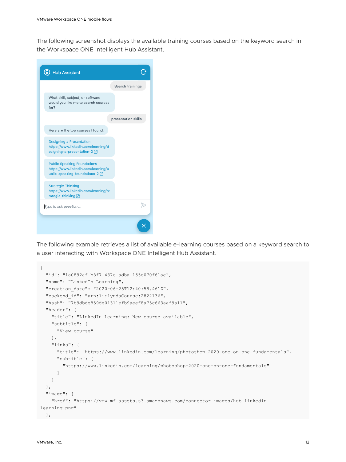The following screenshot displays the available training courses based on the keyword search in the Workspace ONE Intelligent Hub Assistant.

|                                                                                                               | Search trainings    |
|---------------------------------------------------------------------------------------------------------------|---------------------|
| What skill, subject, or software<br>would you like me to search courses<br>for?                               |                     |
|                                                                                                               | presentation skills |
| Here are the top courses I found:                                                                             |                     |
| <b>Designing a Presentation</b><br>https://www.linkedin.com/learning/d<br>esigning-a-presentation-2 [7]       |                     |
| <b>Public Speaking Foundations</b><br>https://www.linkedin.com/learning/p<br>ublic-speaking-foundations-2 [Z] |                     |
| <b>Strategic Thinking</b><br>https://www.linkedin.com/learning/st<br>rategic-thinking[Z]                      |                     |
| Type to ask question                                                                                          |                     |

The following example retrieves a list of available e-learning courses based on a keyword search to a user interacting with Workspace ONE Intelligent Hub Assistant.

```
{
   "id": "1a0892af-b8f7-437c-adba-155c070f61ae",
   "name": "LinkedIn Learning",
   "creation_date": "2020-06-25T12:40:58.461Z",
   "backend_id": "urn:li:lyndaCourse:2822136",
   "hash": "7b9dbde859de01311efb9aeef8a75c663aaf9a11",
   "header": {
     "title": "LinkedIn Learning: New course available",
     "subtitle": [
       "View course"
     ],
     "links": {
       "title": "https://www.linkedin.com/learning/photoshop-2020-one-on-one-fundamentals",
       "subtitle": [
         "https://www.linkedin.com/learning/photoshop-2020-one-on-one-fundamentals"
       ]
     }
   },
   "image": {
     "href": "https://vmw-mf-assets.s3.amazonaws.com/connector-images/hub-linkedin-
learning.png"
 },
```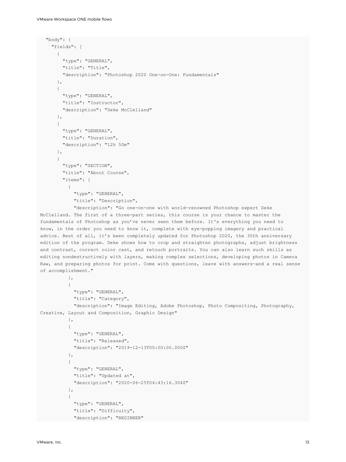```
 "body": {
     "fields": [
      {
         "type": "GENERAL",
         "title": "Title",
         "description": "Photoshop 2020 One-on-One: Fundamentals"
       },
       {
         "type": "GENERAL",
         "title": "Instructor",
         "description": "Deke McClelland"
       },
       {
         "type": "GENERAL",
         "title": "Duration",
         "description": "12h 50m"
       },
       {
         "type": "SECTION",
         "title": "About Course",
         "items": [
\{ "type": "GENERAL",
             "title": "Description",
```
 "description": "Go one-on-one with world-renowned Photoshop expert Deke McClelland. The first of a three-part series, this course is your chance to master the fundamentals of Photoshop as you've never seen them before. It's everything you need to know, in the order you need to know it, complete with eye-popping imagery and practical advice. Best of all, it's been completely updated for Photoshop 2020, the 30th anniversary edition of the program. Deke shows how to crop and straighten photographs, adjust brightness and contrast, correct color cast, and retouch portraits. You can also learn such skills as editing nondestructively with layers, making complex selections, developing photos in Camera Raw, and preparing photos for print. Come with questions, leave with answers-and a real sense of accomplishment."

```
 },
\{ "type": "GENERAL",
             "title": "Category",
            "description": "Image Editing, Adobe Photoshop, Photo Compositing, Photography, 
Creative, Layout and Composition, Graphic Design"
          },
\{ "type": "GENERAL",
            "title": "Released",
            "description": "2019-12-13T00:00:00.000Z"
           },
\{ "type": "GENERAL",
            "title": "Updated at",
            "description": "2020-06-25T04:43:16.304Z"
          },
\{ "type": "GENERAL",
            "title": "Difficulty",
            "description": "BEGINNER"
```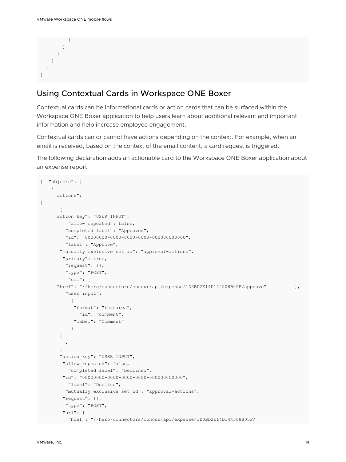} ] } ] } }

#### Using Contextual Cards in Workspace ONE Boxer

Contextual cards can be informational cards or action cards that can be surfaced within the Workspace ONE Boxer application to help users learn about additional relevant and important information and help increase employee engagement.

Contextual cards can or cannot have actions depending on the context. For example, when an email is received, based on the context of the email content, a card request is triggered.

The following declaration adds an actionable card to the Workspace ONE Boxer application about an expense report:

```
{ "objects": [
    { 
      "actions": 
\overline{1} { 
     "action key": "USER INPUT",
         "allow repeated": false,
          "completed_label": "Approved", 
          "id": "00000000-0000-0000-0000-000000000000", 
          "label": "Approve", 
       "mutually exclusive set id": "approval-actions",
         "primary": true, 
          "request": {}, 
          "type": "POST",
           "url": { 
       "href": "//hero/connectors/concur/api/expense/1D3BD2E14D144508B05F/approve" }, 
         "user_input": [
           { 
             "format": "textarea",
               "id": "comment", 
             "label": "Comment" 
 } 
       \mathbf{I} }, 
        { 
       "action key": "USER INPUT",
        "allow repeated": false,
           "completed_label": "Declined", 
         "id": "00000000-0000-0000-0000-000000000000",
           "label": "Decline", 
         "mutually exclusive set id": "approval-actions",
         "request": {}, 
          "type": "POST", 
         "url": { 
           "href": "//hero/connectors/concur/api/expense/1D3BD2E14D144508B05F/
```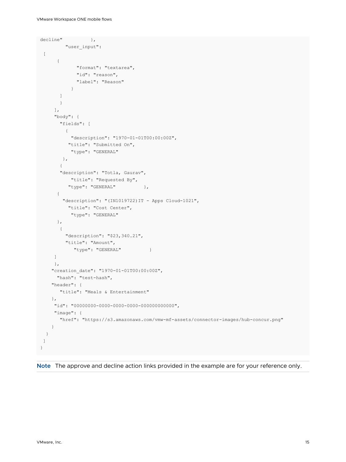```
\text{decline}" },
          "user_input":
 \overline{[} { 
              "format": "textarea", 
              "id": "reason", 
              "label": "Reason" 
 } 
        ] 
       } 
     \frac{1}{2},
      "body": { 
        "fields": [ 
        \left\{ \right. "description": "1970-01-01T00:00:00Z", 
           "title": "Submitted On", 
            "type": "GENERAL" 
         }, 
        { 
        "description": "Totla, Gaurav", 
           "title": "Requested By", 
          "type": "GENERAL" },
       { 
        "description": "(IN1019722)IT - Apps Cloud-1021",
           "title": "Cost Center", 
           "type": "GENERAL" 
       }, 
        { 
          "description": "$23,340.21", 
          "title": "Amount",
           "type": "GENERAL" }
      ] 
      }, 
     "creation_date": "1970-01-01T00:00:00Z",
      "hash": "test-hash", 
     "header": { 
        "title": "Meals & Entertainment" 
    }, 
      "id": "00000000-0000-0000-0000-000000000000", 
     "image": { 
       "href": "https://s3.amazonaws.com/vmw-mf-assets/connector-images/hub-concur.png" 
    } 
   } 
 ]
}
```
**Note** The approve and decline action links provided in the example are for your reference only.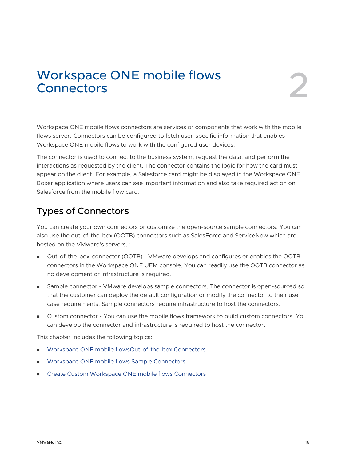## <span id="page-15-0"></span>Workspace ONE mobile flows<br>Connectors

Workspace ONE mobile flows connectors are services or components that work with the mobile flows server. Connectors can be configured to fetch user-specific information that enables Workspace ONE mobile flows to work with the configured user devices.

The connector is used to connect to the business system, request the data, and perform the interactions as requested by the client. The connector contains the logic for how the card must appear on the client. For example, a Salesforce card might be displayed in the Workspace ONE Boxer application where users can see important information and also take required action on Salesforce from the mobile flow card.

## Types of Connectors

You can create your own connectors or customize the open-source sample connectors. You can also use the out-of-the-box (OOTB) connectors such as SalesForce and ServiceNow which are hosted on the VMware's servers. :

- Out-of-the-box-connector (OOTB) VMware develops and configures or enables the OOTB connectors in the Workspace ONE UEM console. You can readily use the OOTB connector as no development or infrastructure is required.
- **n** Sample connector VMware develops sample connectors. The connector is open-sourced so that the customer can deploy the default configuration or modify the connector to their use case requirements. Sample connectors require infrastructure to host the connectors.
- Custom connector You can use the mobile flows framework to build custom connectors. You can develop the connector and infrastructure is required to host the connector.

This chapter includes the following topics:

- [Workspace ONE mobile flowsOut-of-the-box Connectors](#page-16-0)
- [Workspace ONE mobile flows Sample Connectors](#page-19-0)
- [Create Custom Workspace ONE mobile flows Connectors](#page-20-0)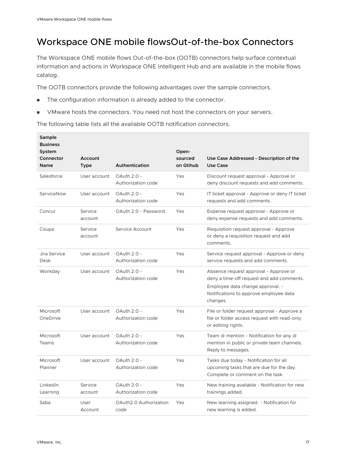## <span id="page-16-0"></span>Workspace ONE mobile flowsOut-of-the-box Connectors

The Workspace ONE mobile flows Out-of-the-box (OOTB) connectors help surface contextual information and actions in Workspace ONE Intelligent Hub and are available in the mobile flows catalog.

The OOTB connectors provide the following advantages over the sample connectors.

- **n** The configuration information is already added to the connector.
- VMware hosts the connectors. You need not host the connectors on your servers.

The following table lists all the available OOTB notification connectors.

| Sample<br><b>Business</b><br>System<br>Connector<br><b>Name</b> | Account<br><b>Type</b> | Authentication                    | Open-<br>sourced<br>on Gtihub | Use Case Addressed - Description of the<br><b>Use Case</b>                                                                                                                   |
|-----------------------------------------------------------------|------------------------|-----------------------------------|-------------------------------|------------------------------------------------------------------------------------------------------------------------------------------------------------------------------|
| Salesforce                                                      | User account           | OAuth 2.0 -<br>Authorization code | Yes                           | Discount request approval - Approve or<br>deny discount requests and add comments.                                                                                           |
| ServiceNow                                                      | User account           | OAuth 2.0 -<br>Authorization code | Yes                           | IT ticket approval - Approve or deny IT ticket<br>requests and add comments.                                                                                                 |
| Concur                                                          | Service<br>account     | OAuth 2.0 - Password              | Yes                           | Expense request approval - Approve or<br>deny expense requests and add comments.                                                                                             |
| Coupa                                                           | Service<br>account     | Service Account                   | Yes                           | Requisition request approval - Approve<br>or deny a requisition request and add<br>comments.                                                                                 |
| Jira Service<br>Desk                                            | User account           | OAuth 2.0 -<br>Authorization code | Yes                           | Service request approval - Approve or deny<br>service requests and add comments.                                                                                             |
| Workday                                                         | User account           | OAuth 2.0 -<br>Authorization code | Yes                           | Absence request approval - Approve or<br>deny a time-off request and add comments.<br>Employee data change approval. -<br>Notifications to approve employee data<br>changes. |
| Microsoft<br>OneDrive                                           | User account           | OAuth 2.0 -<br>Authorization code | Yes                           | File or folder request approval - Approve a<br>file or folder access request with read-only<br>or editing rights.                                                            |
| Microsoft<br>Teams                                              | User account           | OAuth 2.0 -<br>Authorization code | Yes                           | Team $@$ mention - Notification for any $@$<br>mention in public or private team channels.<br>Reply to messages.                                                             |
| Microsoft<br>Planner                                            | User account           | OAuth 2.0 -<br>Authorization code | Yes                           | Tasks due today - Notification for all<br>upcoming tasks that are due for the day.<br>Complete or comment on the task.                                                       |
| LinkedIn<br>Learning                                            | Service<br>account     | OAuth 2.0 -<br>Authorization code | Yes                           | New training available - Notification for new<br>trainings added.                                                                                                            |
| Saba                                                            | User<br>Account        | OAuth2.0 Authorization<br>code    | Yes                           | New learning assigned. - Notification for<br>new learning is added.                                                                                                          |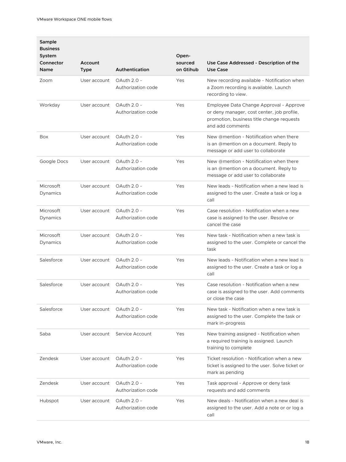| Sample<br><b>Business</b><br>System |                        |                                   | Open-                |                                                                                                                                                        |
|-------------------------------------|------------------------|-----------------------------------|----------------------|--------------------------------------------------------------------------------------------------------------------------------------------------------|
| Connector<br><b>Name</b>            | Account<br><b>Type</b> | Authentication                    | sourced<br>on Gtihub | Use Case Addressed - Description of the<br>Use Case                                                                                                    |
| Zoom                                | User account           | OAuth 2.0 -<br>Authorization code | Yes                  | New recording available - Notification when<br>a Zoom recording is available. Launch<br>recording to view.                                             |
| Workday                             | User account           | OAuth 2.0 -<br>Authorization code | Yes                  | Employee Data Change Approval - Approve<br>or deny manager, cost center, job profile,<br>promotion, business title change requests<br>and add comments |
| Box                                 | User account           | OAuth 2.0 -<br>Authorization code | Yes                  | New @mention - Notiification when there<br>is an @mention on a document. Reply to<br>message or add user to collaborate                                |
| Google Docs                         | User account           | OAuth 2.0 -<br>Authorization code | Yes                  | New @mention - Notiification when there<br>is an @mention on a document. Reply to<br>message or add user to collaborate                                |
| Microsoft<br>Dynamics               | User account           | OAuth 2.0 -<br>Authorization code | Yes                  | New leads - Notification when a new lead is<br>assigned to the user. Create a task or log a<br>call                                                    |
| Microsoft<br>Dynamics               | User account           | OAuth 2.0 -<br>Authorization code | Yes                  | Case resolution - Notification when a new<br>case is assigned to the user. Resolve or<br>cancel the case                                               |
| Microsoft<br>Dynamics               | User account           | OAuth 2.0 -<br>Authorization code | Yes                  | New task - Notification when a new task is<br>assigned to the user. Complete or cancel the<br>task                                                     |
| Salesforce                          | User account           | OAuth 2.0 -<br>Authorization code | Yes                  | New leads - Notification when a new lead is<br>assigned to the user. Create a task or log a<br>call                                                    |
| Salesforce                          | User account           | OAuth 2.0 -<br>Authorization code | Yes                  | Case resolution - Notification when a new<br>case is assigned to the user. Add comments<br>or close the case                                           |
| Salesforce                          | User account           | OAuth 2.0 -<br>Authorization code | Yes                  | New task - Notification when a new task is<br>assigned to the user. Complete the task or<br>mark in-progress                                           |
| Saba                                | User account           | Service Account                   | Yes                  | New training assigned - Notification when<br>a required training is assigned. Launch<br>training to complete                                           |
| Zendesk                             | User account           | OAuth 2.0 -<br>Authorization code | Yes                  | Ticket resolution - Notification when a new<br>ticket is assigned to the user. Solve ticket or<br>mark as pending                                      |
| Zendesk                             | User account           | OAuth 2.0 -<br>Authorization code | Yes                  | Task approval - Approve or deny task<br>requests and add comments                                                                                      |
| Hubspot                             | User account           | OAuth 2.0 -<br>Authorization code | Yes                  | New deals - Notification when a new deal is<br>assigned to the user. Add a note or or log a<br>call                                                    |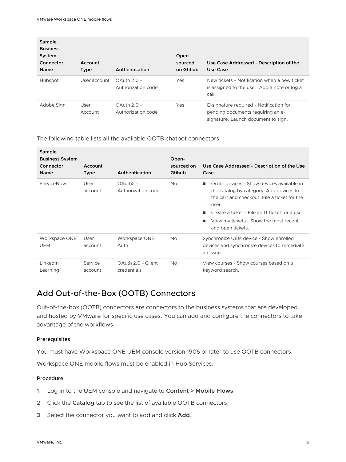<span id="page-18-0"></span>

| Sample<br><b>Business</b><br>System<br>Connector<br>Name | Account<br><b>Type</b> | Authentication                      | Open-<br>sourced<br>on Gtihub | Use Case Addressed - Description of the<br>Use Case                                                                 |
|----------------------------------------------------------|------------------------|-------------------------------------|-------------------------------|---------------------------------------------------------------------------------------------------------------------|
| Hubspot                                                  | User account           | $OAuth 2.0 -$<br>Authorization code | Yes                           | New tickets - Notification when a new ticket<br>is assigned to the user. Add a note or log a<br>call                |
| Adobe Sign                                               | User<br>Account        | $OAuth 2.0 -$<br>Authorization code | Yes                           | E-signature required - Notification for<br>pending documents requiring an e-<br>signature. Launch document to sign. |

The following table lists all the available OOTB chatbot connectors:

| Sample<br><b>Business System</b><br>Connector<br><b>Name</b> | Account<br><b>Type</b> | Authentication                             | Open-<br>sourced on<br>Gtihub | Use Case Addressed - Description of the Use<br>Case                                                                                                                                                                                                             |
|--------------------------------------------------------------|------------------------|--------------------------------------------|-------------------------------|-----------------------------------------------------------------------------------------------------------------------------------------------------------------------------------------------------------------------------------------------------------------|
| ServiceNow                                                   | User<br>account        | OAuth <sub>2</sub> -<br>Authorization code | <b>No</b>                     | Order devices - Show devices available in<br>the catalog by category. Add devices to<br>the cart and checkout. File a ticket for the<br>user.<br>Create a ticket - File an IT ticket for a user.<br>View my tickets - Show the most recent<br>and open tickets. |
| Workspace ONE<br><b>UEM</b>                                  | User<br>account        | Workspace ONE<br>Auth                      | <b>No</b>                     | Synchronize UEM device - Show enrolled<br>devices and synchronize devices to remediate<br>an issue.                                                                                                                                                             |
| LinkedIn<br>Learning                                         | Service<br>account     | OAuth 2.0 - Client<br>credentials          | <b>No</b>                     | View courses - Show courses based on a<br>keyword search.                                                                                                                                                                                                       |

#### Add Out-of-the-Box (OOTB) Connectors

Out-of-the-box (OOTB) connectors are connectors to the business systems that are developed and hosted by VMware for specific use cases. You can add and configure the connectors to take advantage of the workflows.

#### Prerequisites

You must have Workspace ONE UEM console version 1905 or later to use OOTB connectors.

Workspace ONE mobile flows must be enabled in Hub Services.

#### Procedure

- **1** Log in to the UEM console and navigate to **Content > Mobile Flows**.
- **2** Click the **Catalog** tab to see the list of available OOTB connectors.
- **3** Select the connector you want to add and click **Add**.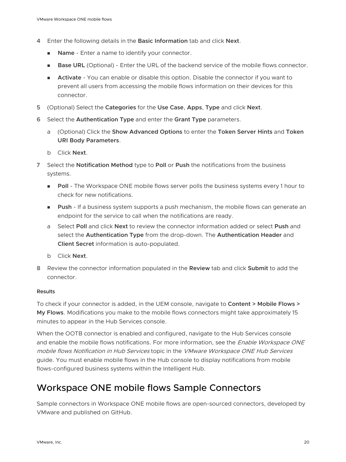- <span id="page-19-0"></span>**4** Enter the following details in the **Basic Information** tab and click **Next**.
	- **n** Name Enter a name to identify your connector.
	- **Base URL** (Optional) Enter the URL of the backend service of the mobile flows connector.
	- **Activate** You can enable or disable this option. Disable the connector if you want to prevent all users from accessing the mobile flows information on their devices for this connector.
- **5** (Optional) Select the **Categories** for the **Use Case**, **Apps**, **Type** and click **Next**.
- **6** Select the **Authentication Type** and enter the **Grant Type** parameters.
	- a (Optional) Click the **Show Advanced Options** to enter the **Token Server Hints** and **Token URI Body Parameters**.
	- b Click **Next**.
- **7** Select the **Notification Method** type to **Poll** or **Push** the notifications from the business systems.
	- **Poll** The Workspace ONE mobile flows server polls the business systems every 1 hour to check for new notifications.
	- **Push** If a business system supports a push mechanism, the mobile flows can generate an endpoint for the service to call when the notifications are ready.
	- a Select **Poll** and click **Next** to review the connector information added or select **Push** and select the **Authentication Type** from the drop-down. The **Authentication Header** and **Client Secret** information is auto-populated.
	- b Click **Next**.
- **8** Review the connector information populated in the **Review** tab and click **Submit** to add the connector.

#### Results

To check if your connector is added, in the UEM console, navigate to **Content > Mobile Flows > My Flows**. Modifications you make to the mobile flows connectors might take approximately 15 minutes to appear in the Hub Services console.

When the OOTB connector is enabled and configured, navigate to the Hub Services console and enable the mobile flows notifications. For more information, see the *Enable Workspace ONE* mobile flows Notification in Hub Services topic in the VMware Workspace ONE Hub Services guide. You must enable mobile flows in the Hub console to display notifications from mobile flows-configured business systems within the Intelligent Hub.

## Workspace ONE mobile flows Sample Connectors

Sample connectors in Workspace ONE mobile flows are open-sourced connectors, developed by VMware and published on GitHub.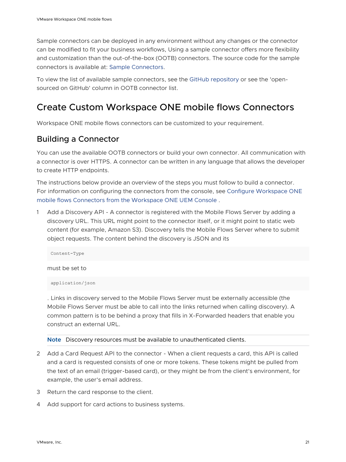<span id="page-20-0"></span>Sample connectors can be deployed in any environment without any changes or the connector can be modified to fit your business workflows, Using a sample connector offers more flexibility and customization than the out-of-the-box (OOTB) connectors. The source code for the sample connectors is available at: [Sample Connectors](https://github.com/vmware/connectors-workspace-one).

To view the list of available sample connectors, see the [GitHub repository](https://github.com/vmware/connectors-workspace-one) or see the 'opensourced on GitHub' column in OOTB connector list.

#### Create Custom Workspace ONE mobile flows Connectors

Workspace ONE mobile flows connectors can be customized to your requirement.

#### Building a Connector

You can use the available OOTB connectors or build your own connector. All communication with a connector is over HTTPS. A connector can be written in any language that allows the developer to create HTTP endpoints.

The instructions below provide an overview of the steps you must follow to build a connector. For information on configuring the connectors from the console, see [Configure Workspace ONE](#page-23-0)  [mobile flows Connectors from the Workspace ONE UEM Console .](#page-23-0)

1 Add a Discovery API - A connector is registered with the Mobile Flows Server by adding a discovery URL. This URL might point to the connector itself, or it might point to static web content (for example, Amazon S3). Discovery tells the Mobile Flows Server where to submit object requests. The content behind the discovery is JSON and its

Content-Type

must be set to

application/json

. Links in discovery served to the Mobile Flows Server must be externally accessible (the Mobile Flows Server must be able to call into the links returned when calling discovery). A common pattern is to be behind a proxy that fills in X-Forwarded headers that enable you construct an external URL.

**Note** Discovery resources must be available to unauthenticated clients.

- 2 Add a Card Request API to the connector When a client requests a card, this API is called and a card is requested consists of one or more tokens. These tokens might be pulled from the text of an email (trigger-based card), or they might be from the client's environment, for example, the user's email address.
- 3 Return the card response to the client.
- 4 Add support for card actions to business systems.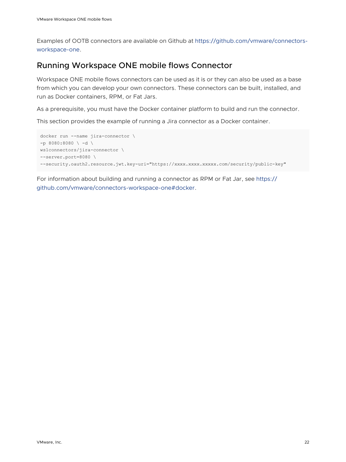<span id="page-21-0"></span>Examples of OOTB connectors are available on Github at [https://github.com/vmware/connectors](https://github.com/vmware/connectors-workspace-one)[workspace-one.](https://github.com/vmware/connectors-workspace-one)

#### Running Workspace ONE mobile flows Connector

Workspace ONE mobile flows connectors can be used as it is or they can also be used as a base from which you can develop your own connectors. These connectors can be built, installed, and run as Docker containers, RPM, or Fat Jars.

As a prerequisite, you must have the Docker container platform to build and run the connector.

This section provides the example of running a Jira connector as a Docker container.

```
docker run --name jira-connector \ 
-p 8080:8080 \ \text{ and } \ \text{ }ws1connectors/jira-connector \ 
--server.port=8080 \ 
--security.oauth2.resource.jwt.key-uri="https://xxxx.xxxx.xxxxx.com/security/public-key"
```
For information about building and running a connector as RPM or Fat Jar, see [https://](https://github.com/vmware/connectors-workspace-one#docker) [github.com/vmware/connectors-workspace-one#docker](https://github.com/vmware/connectors-workspace-one#docker).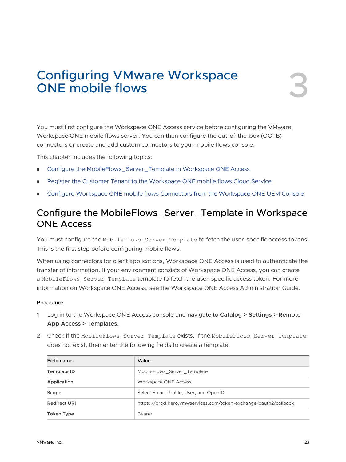## <span id="page-22-0"></span>Configuring VMware Workspace<br>
ONE mobile flows

You must first configure the Workspace ONE Access service before configuring the VMware Workspace ONE mobile flows server. You can then configure the out-of-the-box (OOTB) connectors or create and add custom connectors to your mobile flows console.

This chapter includes the following topics:

- **n** Configure the MobileFlows\_Server\_Template in Workspace ONE Access
- [Register the Customer Tenant to the Workspace ONE mobile flows Cloud Service](#page-23-0)
- **n** [Configure Workspace ONE mobile flows Connectors from the Workspace ONE UEM Console](#page-23-0)

### Configure the MobileFlows\_Server\_Template in Workspace ONE Access

You must configure the MobileFlows Server Template to fetch the user-specific access tokens. This is the first step before configuring mobile flows.

When using connectors for client applications, Workspace ONE Access is used to authenticate the transfer of information. If your environment consists of Workspace ONE Access, you can create a MobileFlows Server Template template to fetch the user-specific access token. For more information on Workspace ONE Access, see the Workspace ONE Access Administration Guide.

#### Procedure

- **1** Log in to the Workspace ONE Access console and navigate to **Catalog > Settings > Remote App Access > Templates**.
- **2** Check if the MobileFlows\_Server\_Template exists. If the MobileFlows\_Server\_Template does not exist, then enter the following fields to create a template.

| Field name          | Value                                                            |
|---------------------|------------------------------------------------------------------|
| Template ID         | MobileFlows Server Template                                      |
| Application         | Workspace ONE Access                                             |
| Scope               | Select Email, Profile, User, and OpenID                          |
| <b>Redirect URI</b> | https://prod.hero.vmwservices.com/token-exchange/oauth2/callback |
| Token Type          | Bearer                                                           |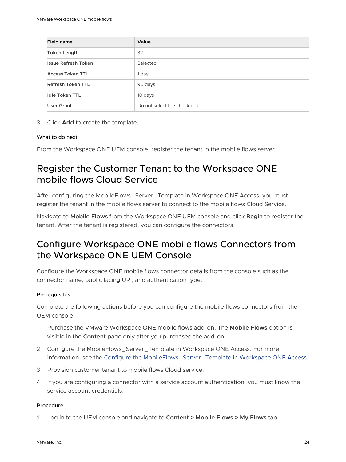<span id="page-23-0"></span>

| Field name                 | Value                       |
|----------------------------|-----------------------------|
| <b>Token Length</b>        | 32                          |
| <b>Issue Refresh Token</b> | Selected                    |
| <b>Access Token TTL</b>    | 1 day                       |
| <b>Refresh Token TTL</b>   | 90 days                     |
| <b>Idle Token TTL</b>      | 10 days                     |
| User Grant                 | Do not select the check box |

**3** Click **Add** to create the template.

#### What to do next

From the Workspace ONE UEM console, register the tenant in the mobile flows server.

## Register the Customer Tenant to the Workspace ONE mobile flows Cloud Service

After configuring the MobileFlows\_Server\_Template in Workspace ONE Access, you must register the tenant in the mobile flows server to connect to the mobile flows Cloud Service.

Navigate to **Mobile Flows** from the Workspace ONE UEM console and click **Begin** to register the tenant. After the tenant is registered, you can configure the connectors.

## Configure Workspace ONE mobile flows Connectors from the Workspace ONE UEM Console

Configure the Workspace ONE mobile flows connector details from the console such as the connector name, public facing URl, and authentication type.

#### Prerequisites

Complete the following actions before you can configure the mobile flows connectors from the UEM console.

- 1 Purchase the VMware Workspace ONE mobile flows add-on. The **Mobile Flows** option is visible in the **Content** page only after you purchased the add-on.
- 2 Configure the MobileFlows\_Server\_Template in Workspace ONE Access. For more information, see the [Configure the MobileFlows\\_Server\\_Template in Workspace ONE Access.](#page-22-0)
- 3 Provision customer tenant to mobile flows Cloud service.
- 4 If you are configuring a connector with a service account authentication, you must know the service account credentials.

#### Procedure

**1** Log in to the UEM console and navigate to **Content > Mobile Flows > My Flows** tab.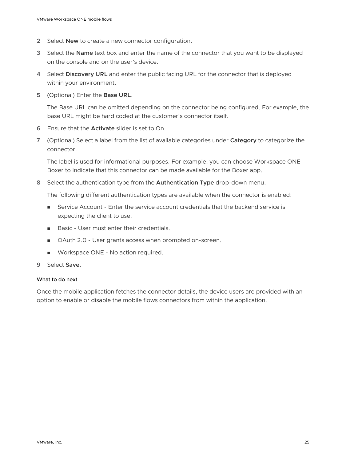- **2** Select **New** to create a new connector configuration.
- **3** Select the **Name** text box and enter the name of the connector that you want to be displayed on the console and on the user's device.
- **4** Select **Discovery URL** and enter the public facing URL for the connector that is deployed within your environment.
- **5** (Optional) Enter the **Base URL**.

The Base URL can be omitted depending on the connector being configured. For example, the base URL might be hard coded at the customer's connector itself.

- **6** Ensure that the **Activate** slider is set to On.
- **7** (Optional) Select a label from the list of available categories under **Category** to categorize the connector.

The label is used for informational purposes. For example, you can choose Workspace ONE Boxer to indicate that this connector can be made available for the Boxer app.

**8** Select the authentication type from the **Authentication Type** drop-down menu.

The following different authentication types are available when the connector is enabled:

- **EXECOUNTER 19 Instanding Service Account** credentials that the backend service is expecting the client to use.
- **Basic User must enter their credentials.**
- <sup>n</sup> OAuth 2.0 User grants access when prompted on-screen.
- **Norkspace ONE No action required.**
- **9** Select **Save**.

#### What to do next

Once the mobile application fetches the connector details, the device users are provided with an option to enable or disable the mobile flows connectors from within the application.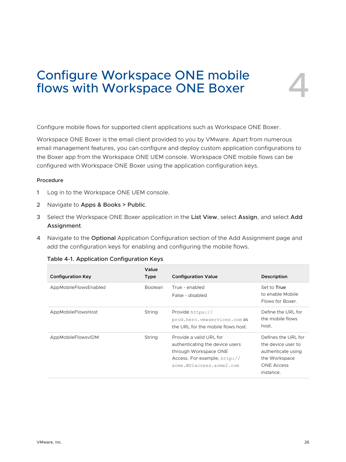## <span id="page-25-0"></span>Configure Workspace ONE mobile flows with Workspace ONE Boxer

Configure mobile flows for supported client applications such as Workspace ONE Boxer.

Workspace ONE Boxer is the email client provided to you by VMware. Apart from numerous email management features, you can configure and deploy custom application configurations to the Boxer app from the Workspace ONE UEM console. Workspace ONE mobile flows can be configured with Workspace ONE Boxer using the application configuration keys.

#### Procedure

- **1** Log in to the Workspace ONE UEM console.
- **2** Navigate to **Apps & Books > Public**.
- **3** Select the Workspace ONE Boxer application in the **List View**, select **Assign**, and select **Add Assignment**.
- **4** Navigate to the **Optional** Application Configuration section of the Add Assignment page and add the configuration keys for enabling and configuring the mobile flows.

| <b>Configuration Key</b> | Value<br>Type  | <b>Configuration Value</b>                                                                                                                      | Description                                                                                                        |
|--------------------------|----------------|-------------------------------------------------------------------------------------------------------------------------------------------------|--------------------------------------------------------------------------------------------------------------------|
| AppMobileFlowsEnabled    | <b>Boolean</b> | True - enabled<br>False - disabled                                                                                                              | Set to True<br>to enable Mobile<br>Flows for Boxer.                                                                |
| AppMobileFlowsHost       | String         | Provide https://<br>prod.hero.vmwservices.com as<br>the URL for the mobile flows host.                                                          | Define the URL for<br>the mobile flows<br>host.                                                                    |
| AppMobileFlowsvIDM       | <b>String</b>  | Provide a valid URL for<br>authenticating the device users<br>through Workspace ONE<br>Access. For example, http://<br>acme.WSlaccess.acme2.com | Defines the URL for<br>the device user to<br>authenticate using<br>the Workspace<br><b>ONE Access</b><br>instance. |

|  | Table 4-1. Application Configuration Keys |  |
|--|-------------------------------------------|--|
|  |                                           |  |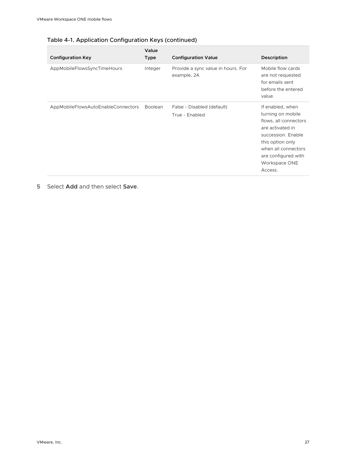| <b>Configuration Key</b>           | Value<br><b>Type</b> | <b>Configuration Value</b>                         | Description                                                                                                                                                                                            |
|------------------------------------|----------------------|----------------------------------------------------|--------------------------------------------------------------------------------------------------------------------------------------------------------------------------------------------------------|
| AppMobileFlowsSyncTimeHours        | Integer              | Provide a sync value in hours. For<br>example, 24. | Mobile flow cards<br>are not requested<br>for emails sent<br>before the entered<br>value.                                                                                                              |
| AppMobileFlowsAutoEnableConnectors | <b>Boolean</b>       | False - Disabled (default)<br>True - Enabled       | If enabled, when<br>turning on mobile<br>flows, all connectors<br>are activated in<br>succession. Enable<br>this option only<br>when all connectors<br>are configured with<br>Workspace ONE<br>Access. |

**5** Select **Add** and then select **Save**.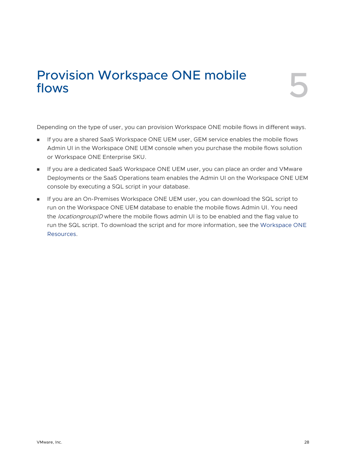# <span id="page-27-0"></span>Provision Workspace ONE mobile<br>flows

Depending on the type of user, you can provision Workspace ONE mobile flows in different ways.

- <sup>n</sup> If you are a shared SaaS Workspace ONE UEM user, GEM service enables the mobile flows Admin UI in the Workspace ONE UEM console when you purchase the mobile flows solution or Workspace ONE Enterprise SKU.
- **n** If you are a dedicated SaaS Workspace ONE UEM user, you can place an order and VMware Deployments or the SaaS Operations team enables the Admin UI on the Workspace ONE UEM console by executing a SQL script in your database.
- **n** If you are an On-Premises Workspace ONE UEM user, you can download the SQL script to run on the Workspace ONE UEM database to enable the mobile flows Admin UI. You need the *locationgroupID* where the mobile flows admin UI is to be enabled and the flag value to run the SQL script. To download the script and for more information, see the [Workspace ONE](https://resources.workspaceone.com/view/bh8qr3yct75vdy9szxsd/en) [Resources](https://resources.workspaceone.com/view/bh8qr3yct75vdy9szxsd/en).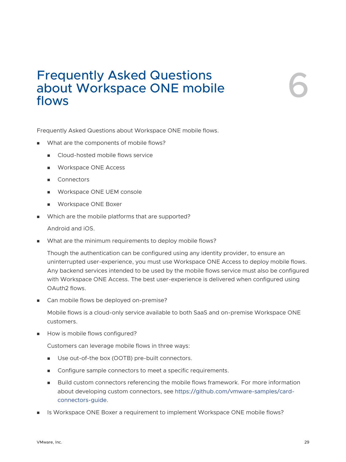## <span id="page-28-0"></span>Frequently Asked Questions about Workspace ONE mobile Frequently Asked Questions<br>about Workspace ONE mobile<br>flows

Frequently Asked Questions about Workspace ONE mobile flows.

- What are the components of mobile flows?
	- **n** Cloud-hosted mobile flows service
	- Workspace ONE Access
	- Connectors
	- Workspace ONE UEM console
	- **N** Workspace ONE Boxer
- Which are the mobile platforms that are supported?

Android and iOS.

**No. 2018** What are the minimum requirements to deploy mobile flows?

Though the authentication can be configured using any identity provider, to ensure an uninterrupted user-experience, you must use Workspace ONE Access to deploy mobile flows. Any backend services intended to be used by the mobile flows service must also be configured with Workspace ONE Access. The best user-experience is delivered when configured using OAuth2 flows.

■ Can mobile flows be deployed on-premise?

Mobile flows is a cloud-only service available to both SaaS and on-premise Workspace ONE customers.

**n** How is mobile flows configured?

Customers can leverage mobile flows in three ways:

- Use out-of-the box (OOTB) pre-built connectors.
- Configure sample connectors to meet a specific requirements.
- Build custom connectors referencing the mobile flows framework. For more information about developing custom connectors, see [https://github.com/vmware-samples/card](https://github.com/vmware-samples/card-connectors-guide)[connectors-guide](https://github.com/vmware-samples/card-connectors-guide).
- Is Workspace ONE Boxer a requirement to implement Workspace ONE mobile flows?